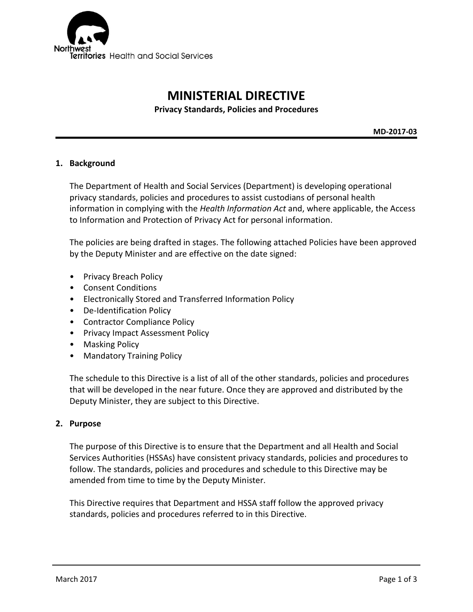

# **MINISTERIAL DIRECTIVE**

**Privacy Standards, Policies and Procedures**

**MD-2017-03**

#### **1. Background**

The Department of Health and Social Services (Department) is developing operational privacy standards, policies and procedures to assist custodians of personal health information in complying with the *Health Information Act* and, where applicable, the Access to Information and Protection of Privacy Act for personal information.

The policies are being drafted in stages. The following attached Policies have been approved by the Deputy Minister and are effective on the date signed:

- Privacy Breach Policy
- Consent Conditions
- Electronically Stored and Transferred Information Policy
- De-Identification Policy
- Contractor Compliance Policy
- Privacy Impact Assessment Policy
- Masking Policy
- Mandatory Training Policy

The schedule to this Directive is a list of all of the other standards, policies and procedures that will be developed in the near future. Once they are approved and distributed by the Deputy Minister, they are subject to this Directive.

#### **2. Purpose**

The purpose of this Directive is to ensure that the Department and all Health and Social Services Authorities (HSSAs) have consistent privacy standards, policies and procedures to follow. The standards, policies and procedures and schedule to this Directive may be amended from time to time by the Deputy Minister.

This Directive requires that Department and HSSA staff follow the approved privacy standards, policies and procedures referred to in this Directive.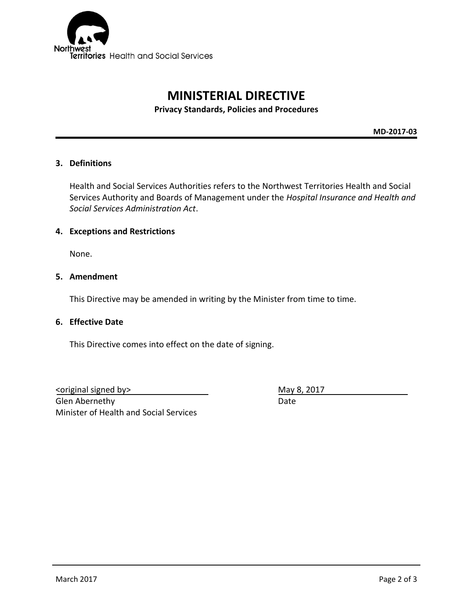

# **MINISTERIAL DIRECTIVE**

**Privacy Standards, Policies and Procedures**

**MD-2017-03**

### **3. Definitions**

Health and Social Services Authorities refers to the Northwest Territories Health and Social Services Authority and Boards of Management under the *Hospital Insurance and Health and Social Services Administration Act*.

#### **4. Exceptions and Restrictions**

None.

### **5. Amendment**

This Directive may be amended in writing by the Minister from time to time.

### **6. Effective Date**

This Directive comes into effect on the date of signing.

<original signed by> May 8, 2017 Glen Abernethy Date Minister of Health and Social Services